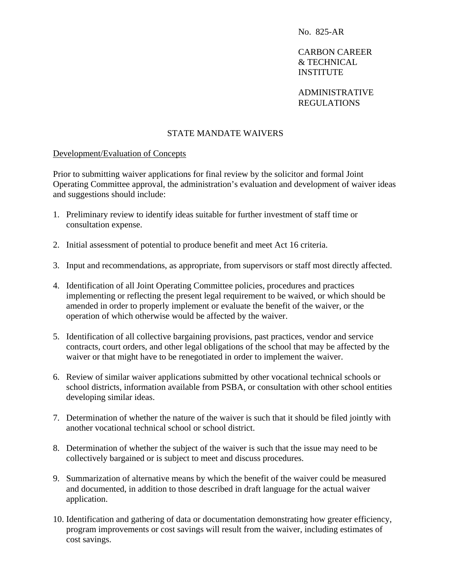CARBON CAREER & TECHNICAL **INSTITUTE** 

 ADMINISTRATIVE REGULATIONS

## STATE MANDATE WAIVERS

#### Development/Evaluation of Concepts

Prior to submitting waiver applications for final review by the solicitor and formal Joint Operating Committee approval, the administration's evaluation and development of waiver ideas and suggestions should include:

- 1. Preliminary review to identify ideas suitable for further investment of staff time or consultation expense.
- 2. Initial assessment of potential to produce benefit and meet Act 16 criteria.
- 3. Input and recommendations, as appropriate, from supervisors or staff most directly affected.
- 4. Identification of all Joint Operating Committee policies, procedures and practices implementing or reflecting the present legal requirement to be waived, or which should be amended in order to properly implement or evaluate the benefit of the waiver, or the operation of which otherwise would be affected by the waiver.
- 5. Identification of all collective bargaining provisions, past practices, vendor and service contracts, court orders, and other legal obligations of the school that may be affected by the waiver or that might have to be renegotiated in order to implement the waiver.
- 6. Review of similar waiver applications submitted by other vocational technical schools or school districts, information available from PSBA, or consultation with other school entities developing similar ideas.
- 7. Determination of whether the nature of the waiver is such that it should be filed jointly with another vocational technical school or school district.
- 8. Determination of whether the subject of the waiver is such that the issue may need to be collectively bargained or is subject to meet and discuss procedures.
- 9. Summarization of alternative means by which the benefit of the waiver could be measured and documented, in addition to those described in draft language for the actual waiver application.
- 10. Identification and gathering of data or documentation demonstrating how greater efficiency, program improvements or cost savings will result from the waiver, including estimates of cost savings.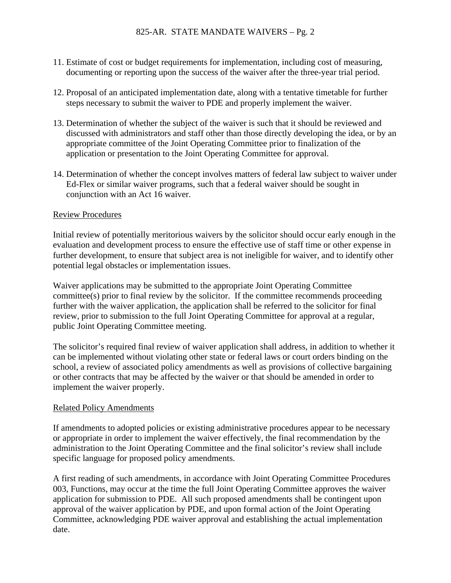- 11. Estimate of cost or budget requirements for implementation, including cost of measuring, documenting or reporting upon the success of the waiver after the three-year trial period.
- 12. Proposal of an anticipated implementation date, along with a tentative timetable for further steps necessary to submit the waiver to PDE and properly implement the waiver.
- 13. Determination of whether the subject of the waiver is such that it should be reviewed and discussed with administrators and staff other than those directly developing the idea, or by an appropriate committee of the Joint Operating Committee prior to finalization of the application or presentation to the Joint Operating Committee for approval.
- 14. Determination of whether the concept involves matters of federal law subject to waiver under Ed-Flex or similar waiver programs, such that a federal waiver should be sought in conjunction with an Act 16 waiver.

## Review Procedures

Initial review of potentially meritorious waivers by the solicitor should occur early enough in the evaluation and development process to ensure the effective use of staff time or other expense in further development, to ensure that subject area is not ineligible for waiver, and to identify other potential legal obstacles or implementation issues.

Waiver applications may be submitted to the appropriate Joint Operating Committee committee(s) prior to final review by the solicitor. If the committee recommends proceeding further with the waiver application, the application shall be referred to the solicitor for final review, prior to submission to the full Joint Operating Committee for approval at a regular, public Joint Operating Committee meeting.

The solicitor's required final review of waiver application shall address, in addition to whether it can be implemented without violating other state or federal laws or court orders binding on the school, a review of associated policy amendments as well as provisions of collective bargaining or other contracts that may be affected by the waiver or that should be amended in order to implement the waiver properly.

## Related Policy Amendments

If amendments to adopted policies or existing administrative procedures appear to be necessary or appropriate in order to implement the waiver effectively, the final recommendation by the administration to the Joint Operating Committee and the final solicitor's review shall include specific language for proposed policy amendments.

A first reading of such amendments, in accordance with Joint Operating Committee Procedures 003, Functions, may occur at the time the full Joint Operating Committee approves the waiver application for submission to PDE. All such proposed amendments shall be contingent upon approval of the waiver application by PDE, and upon formal action of the Joint Operating Committee, acknowledging PDE waiver approval and establishing the actual implementation date.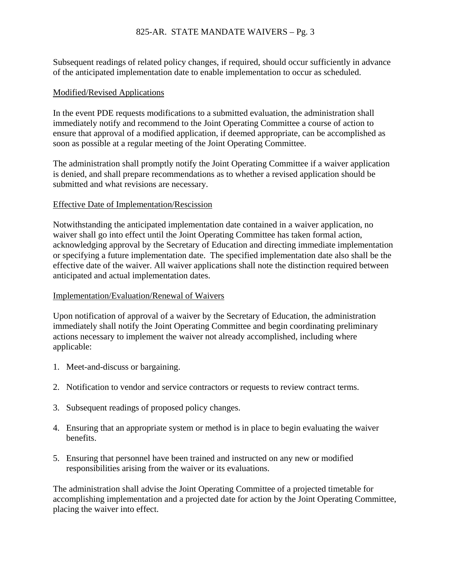# 825-AR. STATE MANDATE WAIVERS – Pg. 3

Subsequent readings of related policy changes, if required, should occur sufficiently in advance of the anticipated implementation date to enable implementation to occur as scheduled.

#### Modified/Revised Applications

In the event PDE requests modifications to a submitted evaluation, the administration shall immediately notify and recommend to the Joint Operating Committee a course of action to ensure that approval of a modified application, if deemed appropriate, can be accomplished as soon as possible at a regular meeting of the Joint Operating Committee.

The administration shall promptly notify the Joint Operating Committee if a waiver application is denied, and shall prepare recommendations as to whether a revised application should be submitted and what revisions are necessary.

#### Effective Date of Implementation/Rescission

Notwithstanding the anticipated implementation date contained in a waiver application, no waiver shall go into effect until the Joint Operating Committee has taken formal action, acknowledging approval by the Secretary of Education and directing immediate implementation or specifying a future implementation date. The specified implementation date also shall be the effective date of the waiver. All waiver applications shall note the distinction required between anticipated and actual implementation dates.

### Implementation/Evaluation/Renewal of Waivers

Upon notification of approval of a waiver by the Secretary of Education, the administration immediately shall notify the Joint Operating Committee and begin coordinating preliminary actions necessary to implement the waiver not already accomplished, including where applicable:

- 1. Meet-and-discuss or bargaining.
- 2. Notification to vendor and service contractors or requests to review contract terms.
- 3. Subsequent readings of proposed policy changes.
- 4. Ensuring that an appropriate system or method is in place to begin evaluating the waiver benefits.
- 5. Ensuring that personnel have been trained and instructed on any new or modified responsibilities arising from the waiver or its evaluations.

The administration shall advise the Joint Operating Committee of a projected timetable for accomplishing implementation and a projected date for action by the Joint Operating Committee, placing the waiver into effect.